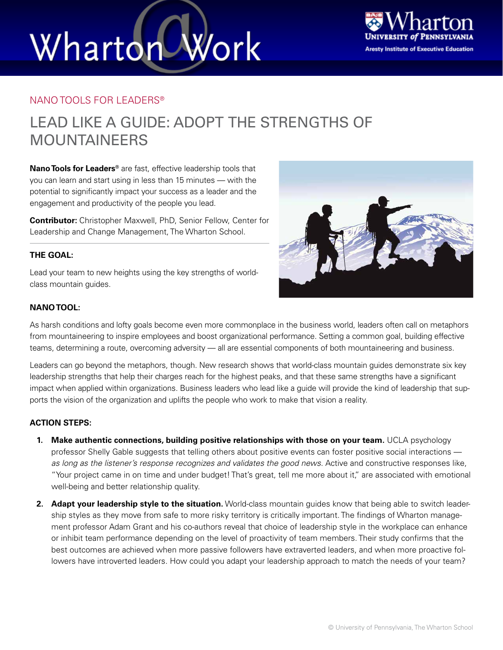# Wharton Work



### NANO TOOLS FOR LEADERS®

### LEAD LIKE A GUIDE: ADOPT THE STRENGTHS OF MOUNTAINEERS

**Nano Tools for Leaders®** are fast, effective leadership tools that you can learn and start using in less than 15 minutes — with the potential to significantly impact your success as a leader and the engagement and productivity of the people you lead.

**Contributor:** Christopher Maxwell, PhD, Senior Fellow, Center for Leadership and Change Management, The Wharton School.

### **THE GOAL:**

Lead your team to new heights using the key strengths of worldclass mountain guides.



#### **NANO TOOL:**

As harsh conditions and lofty goals become even more commonplace in the business world, leaders often call on metaphors from mountaineering to inspire employees and boost organizational performance. Setting a common goal, building effective teams, determining a route, overcoming adversity — all are essential components of both mountaineering and business.

Leaders can go beyond the metaphors, though. New research shows that world-class mountain guides demonstrate six key leadership strengths that help their charges reach for the highest peaks, and that these same strengths have a significant impact when applied within organizations. Business leaders who lead like a guide will provide the kind of leadership that supports the vision of the organization and uplifts the people who work to make that vision a reality.

#### **ACTION STEPS:**

- **1. Make authentic connections, building positive relationships with those on your team.** UCLA psychology professor Shelly Gable suggests that telling others about positive events can foster positive social interactions *as long as the listener's response recognizes and validates the good news*. Active and constructive responses like, "Your project came in on time and under budget! That's great, tell me more about it," are associated with emotional well-being and better relationship quality.
- **2. Adapt your leadership style to the situation.** World-class mountain guides know that being able to switch leadership styles as they move from safe to more risky territory is critically important. The findings of Wharton management professor Adam Grant and his co-authors reveal that choice of leadership style in the workplace can enhance or inhibit team performance depending on the level of proactivity of team members. Their study confirms that the best outcomes are achieved when more passive followers have extraverted leaders, and when more proactive followers have introverted leaders. How could you adapt your leadership approach to match the needs of your team?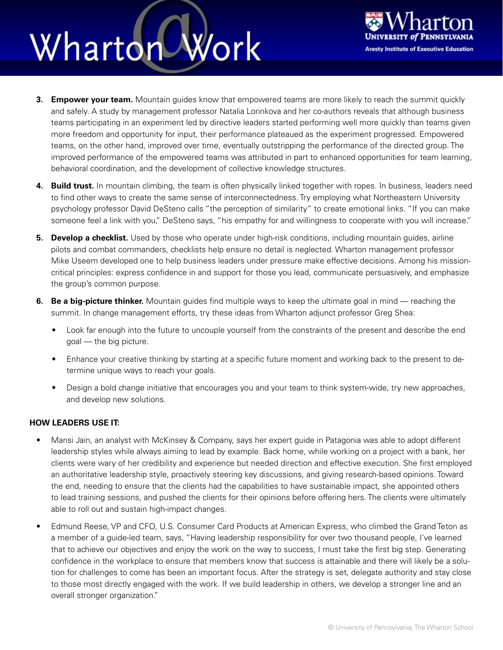## Wharton Work



- **3. Empower your team.** Mountain guides know that empowered teams are more likely to reach the summit quickly and safely. A study by management professor Natalia Lorinkova and her co-authors reveals that although business teams participating in an experiment led by directive leaders started performing well more quickly than teams given more freedom and opportunity for input, their performance plateaued as the experiment progressed. Empowered teams, on the other hand, improved over time, eventually outstripping the performance of the directed group. The improved performance of the empowered teams was attributed in part to enhanced opportunities for team learning, behavioral coordination, and the development of collective knowledge structures.
- **4. Build trust.** In mountain climbing, the team is often physically linked together with ropes. In business, leaders need to find other ways to create the same sense of interconnectedness. Try employing what Northeastern University psychology professor David DeSteno calls "the perception of similarity" to create emotional links. "If you can make someone feel a link with you," DeSteno says, "his empathy for and willingness to cooperate with you will increase."
- **5. Develop a checklist.** Used by those who operate under high-risk conditions, including mountain guides, airline pilots and combat commanders, checklists help ensure no detail is neglected. Wharton management professor Mike Useem developed one to help business leaders under pressure make effective decisions. Among his missioncritical principles: express confidence in and support for those you lead, communicate persuasively, and emphasize the group's common purpose.
- **6. Be a big-picture thinker.** Mountain guides find multiple ways to keep the ultimate goal in mind reaching the summit. In change management efforts, try these ideas from Wharton adjunct professor Greg Shea:
	- Look far enough into the future to uncouple yourself from the constraints of the present and describe the end goal — the big picture.
	- Enhance your creative thinking by starting at a specific future moment and working back to the present to determine unique ways to reach your goals.
	- Design a bold change initiative that encourages you and your team to think system-wide, try new approaches, and develop new solutions.

### **HOW LEADERS USE IT:**

- Mansi Jain, an analyst with McKinsey & Company, says her expert guide in Patagonia was able to adopt different leadership styles while always aiming to lead by example. Back home, while working on a project with a bank, her clients were wary of her credibility and experience but needed direction and effective execution. She first employed an authoritative leadership style, proactively steering key discussions, and giving research-based opinions. Toward the end, needing to ensure that the clients had the capabilities to have sustainable impact, she appointed others to lead training sessions, and pushed the clients for their opinions before offering hers. The clients were ultimately able to roll out and sustain high-impact changes.
- Edmund Reese, VP and CFO, U.S. Consumer Card Products at American Express, who climbed the Grand Teton as a member of a guide-led team, says, "Having leadership responsibility for over two thousand people, I've learned that to achieve our objectives and enjoy the work on the way to success, I must take the first big step. Generating confidence in the workplace to ensure that members know that success is attainable and there will likely be a solution for challenges to come has been an important focus. After the strategy is set, delegate authority and stay close to those most directly engaged with the work. If we build leadership in others, we develop a stronger line and an overall stronger organization."